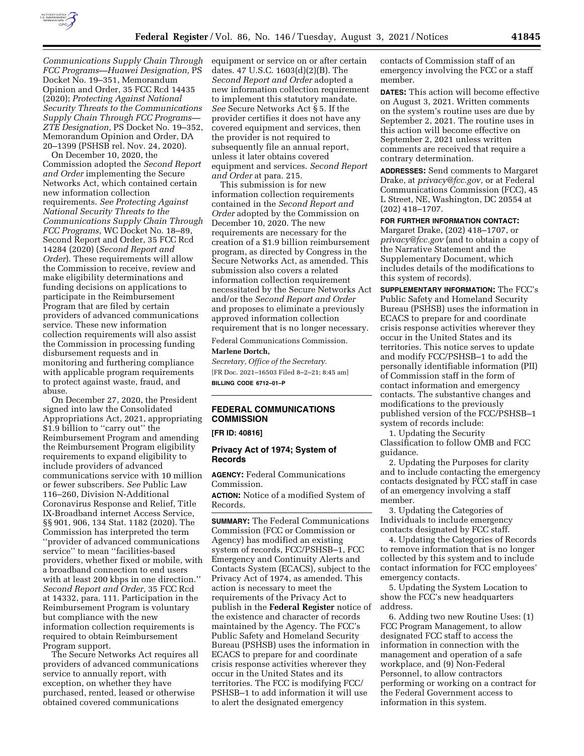

*Communications Supply Chain Through FCC Programs—Huawei Designation,* PS Docket No. 19–351, Memorandum Opinion and Order, 35 FCC Rcd 14435 (2020); *Protecting Against National Security Threats to the Communications Supply Chain Through FCC Programs— ZTE Designation,* PS Docket No. 19–352, Memorandum Opinion and Order, DA 20–1399 (PSHSB rel. Nov. 24, 2020).

On December 10, 2020, the Commission adopted the *Second Report and Order* implementing the Secure Networks Act, which contained certain new information collection requirements. *See Protecting Against National Security Threats to the Communications Supply Chain Through FCC Programs,* WC Docket No. 18–89, Second Report and Order, 35 FCC Rcd 14284 (2020) (*Second Report and Order*). These requirements will allow the Commission to receive, review and make eligibility determinations and funding decisions on applications to participate in the Reimbursement Program that are filed by certain providers of advanced communications service. These new information collection requirements will also assist the Commission in processing funding disbursement requests and in monitoring and furthering compliance with applicable program requirements to protect against waste, fraud, and abuse.

On December 27, 2020, the President signed into law the Consolidated Appropriations Act, 2021, appropriating \$1.9 billion to ''carry out'' the Reimbursement Program and amending the Reimbursement Program eligibility requirements to expand eligibility to include providers of advanced communications service with 10 million or fewer subscribers. *See* Public Law 116–260, Division N-Additional Coronavirus Response and Relief, Title IX-Broadband internet Access Service, §§ 901, 906, 134 Stat. 1182 (2020). The Commission has interpreted the term ''provider of advanced communications service'' to mean ''facilities-based providers, whether fixed or mobile, with a broadband connection to end users with at least 200 kbps in one direction.'' *Second Report and Order,* 35 FCC Rcd at 14332, para. 111. Participation in the Reimbursement Program is voluntary but compliance with the new information collection requirements is required to obtain Reimbursement Program support.

The Secure Networks Act requires all providers of advanced communications service to annually report, with exception, on whether they have purchased, rented, leased or otherwise obtained covered communications

equipment or service on or after certain dates. 47 U.S.C. 1603(d)(2)(B). The *Second Report and Order* adopted a new information collection requirement to implement this statutory mandate. *See* Secure Networks Act § 5. If the provider certifies it does not have any covered equipment and services, then the provider is not required to subsequently file an annual report, unless it later obtains covered equipment and services. *Second Report and Order* at para. 215.

This submission is for new information collection requirements contained in the *Second Report and Order* adopted by the Commission on December 10, 2020. The new requirements are necessary for the creation of a \$1.9 billion reimbursement program, as directed by Congress in the Secure Networks Act, as amended. This submission also covers a related information collection requirement necessitated by the Secure Networks Act and/or the *Second Report and Order*  and proposes to eliminate a previously approved information collection requirement that is no longer necessary.

Federal Communications Commission. **Marlene Dortch,** 

*Secretary, Office of the Secretary.*  [FR Doc. 2021–16503 Filed 8–2–21; 8:45 am] **BILLING CODE 6712–01–P** 

# **FEDERAL COMMUNICATIONS COMMISSION**

**[FR ID: 40816]** 

# **Privacy Act of 1974; System of Records**

**AGENCY:** Federal Communications Commission.

**ACTION:** Notice of a modified System of Records.

**SUMMARY:** The Federal Communications Commission (FCC or Commission or Agency) has modified an existing system of records, FCC/PSHSB–1, FCC Emergency and Continuity Alerts and Contacts System (ECACS), subject to the Privacy Act of 1974, as amended. This action is necessary to meet the requirements of the Privacy Act to publish in the **Federal Register** notice of the existence and character of records maintained by the Agency. The FCC's Public Safety and Homeland Security Bureau (PSHSB) uses the information in ECACS to prepare for and coordinate crisis response activities wherever they occur in the United States and its territories. The FCC is modifying FCC/ PSHSB–1 to add information it will use to alert the designated emergency

contacts of Commission staff of an emergency involving the FCC or a staff member.

**DATES:** This action will become effective on August 3, 2021. Written comments on the system's routine uses are due by September 2, 2021. The routine uses in this action will become effective on September 2, 2021 unless written comments are received that require a contrary determination.

**ADDRESSES:** Send comments to Margaret Drake, at *privacy@fcc.gov,* or at Federal Communications Commission (FCC), 45 L Street, NE, Washington, DC 20554 at (202) 418–1707.

**FOR FURTHER INFORMATION CONTACT:**  Margaret Drake, (202) 418–1707, or *privacy@fcc.gov* (and to obtain a copy of the Narrative Statement and the Supplementary Document, which includes details of the modifications to this system of records).

**SUPPLEMENTARY INFORMATION:** The FCC's Public Safety and Homeland Security Bureau (PSHSB) uses the information in ECACS to prepare for and coordinate crisis response activities wherever they occur in the United States and its territories. This notice serves to update and modify FCC/PSHSB–1 to add the personally identifiable information (PII) of Commission staff in the form of contact information and emergency contacts. The substantive changes and modifications to the previously published version of the FCC/PSHSB–1 system of records include:

1. Updating the Security Classification to follow OMB and FCC guidance.

2. Updating the Purposes for clarity and to include contacting the emergency contacts designated by FCC staff in case of an emergency involving a staff member.

3. Updating the Categories of Individuals to include emergency contacts designated by FCC staff.

4. Updating the Categories of Records to remove information that is no longer collected by this system and to include contact information for FCC employees' emergency contacts.

5. Updating the System Location to show the FCC's new headquarters address.

6. Adding two new Routine Uses: (1) FCC Program Management, to allow designated FCC staff to access the information in connection with the management and operation of a safe workplace, and (9) Non-Federal Personnel, to allow contractors performing or working on a contract for the Federal Government access to information in this system.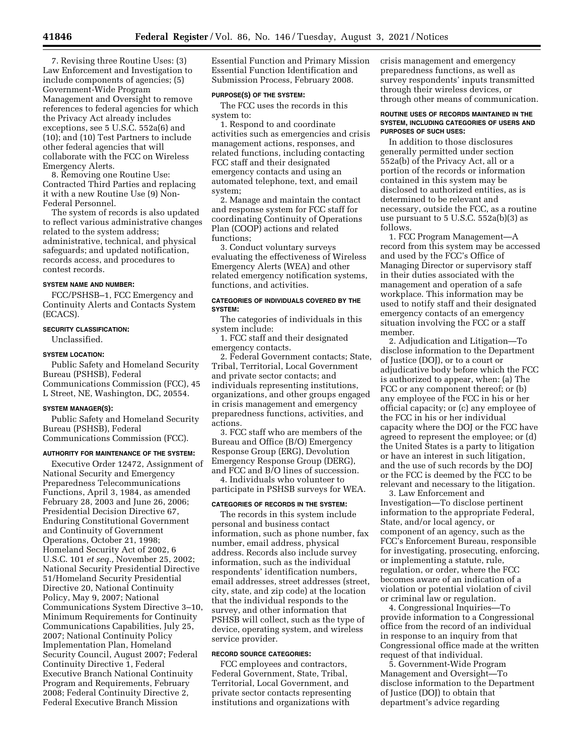7. Revising three Routine Uses: (3) Law Enforcement and Investigation to include components of agencies; (5) Government-Wide Program Management and Oversight to remove references to federal agencies for which the Privacy Act already includes exceptions, see 5 U.S.C. 552a(6) and (10); and (10) Test Partners to include other federal agencies that will collaborate with the FCC on Wireless Emergency Alerts.

8. Removing one Routine Use: Contracted Third Parties and replacing it with a new Routine Use (9) Non-Federal Personnel.

The system of records is also updated to reflect various administrative changes related to the system address; administrative, technical, and physical safeguards; and updated notification, records access, and procedures to contest records.

# **SYSTEM NAME AND NUMBER:**

FCC/PSHSB–1, FCC Emergency and Continuity Alerts and Contacts System (ECACS).

### **SECURITY CLASSIFICATION:**

Unclassified.

### **SYSTEM LOCATION:**

Public Safety and Homeland Security Bureau (PSHSB), Federal Communications Commission (FCC), 45 L Street, NE, Washington, DC, 20554.

# **SYSTEM MANAGER(S):**

Public Safety and Homeland Security Bureau (PSHSB), Federal Communications Commission (FCC).

#### **AUTHORITY FOR MAINTENANCE OF THE SYSTEM:**

Executive Order 12472, Assignment of National Security and Emergency Preparedness Telecommunications Functions, April 3, 1984, as amended February 28, 2003 and June 26, 2006; Presidential Decision Directive 67, Enduring Constitutional Government and Continuity of Government Operations, October 21, 1998; Homeland Security Act of 2002, 6 U.S.C. 101 *et seq.,* November 25, 2002; National Security Presidential Directive 51/Homeland Security Presidential Directive 20, National Continuity Policy, May 9, 2007; National Communications System Directive 3–10, Minimum Requirements for Continuity Communications Capabilities, July 25, 2007; National Continuity Policy Implementation Plan, Homeland Security Council, August 2007; Federal Continuity Directive 1, Federal Executive Branch National Continuity Program and Requirements, February 2008; Federal Continuity Directive 2, Federal Executive Branch Mission

Essential Function and Primary Mission Essential Function Identification and Submission Process, February 2008.

### **PURPOSE(S) OF THE SYSTEM:**

The FCC uses the records in this system to:

1. Respond to and coordinate activities such as emergencies and crisis management actions, responses, and related functions, including contacting FCC staff and their designated emergency contacts and using an automated telephone, text, and email system;

2. Manage and maintain the contact and response system for FCC staff for coordinating Continuity of Operations Plan (COOP) actions and related functions;

3. Conduct voluntary surveys evaluating the effectiveness of Wireless Emergency Alerts (WEA) and other related emergency notification systems, functions, and activities.

### **CATEGORIES OF INDIVIDUALS COVERED BY THE SYSTEM:**

The categories of individuals in this system include:

1. FCC staff and their designated emergency contacts.

2. Federal Government contacts; State, Tribal, Territorial, Local Government and private sector contacts; and individuals representing institutions, organizations, and other groups engaged in crisis management and emergency preparedness functions, activities, and actions.

3. FCC staff who are members of the Bureau and Office (B/O) Emergency Response Group (ERG), Devolution Emergency Response Group (DERG), and FCC and B/O lines of succession.

4. Individuals who volunteer to participate in PSHSB surveys for WEA.

# **CATEGORIES OF RECORDS IN THE SYSTEM:**

The records in this system include personal and business contact information, such as phone number, fax number, email address, physical address. Records also include survey information, such as the individual respondents' identification numbers, email addresses, street addresses (street, city, state, and zip code) at the location that the individual responds to the survey, and other information that PSHSB will collect, such as the type of device, operating system, and wireless service provider.

# **RECORD SOURCE CATEGORIES:**

FCC employees and contractors, Federal Government, State, Tribal, Territorial, Local Government, and private sector contacts representing institutions and organizations with

crisis management and emergency preparedness functions, as well as survey respondents' inputs transmitted through their wireless devices, or through other means of communication.

### **ROUTINE USES OF RECORDS MAINTAINED IN THE SYSTEM, INCLUDING CATEGORIES OF USERS AND PURPOSES OF SUCH USES:**

In addition to those disclosures generally permitted under section 552a(b) of the Privacy Act, all or a portion of the records or information contained in this system may be disclosed to authorized entities, as is determined to be relevant and necessary, outside the FCC, as a routine use pursuant to 5 U.S.C. 552a(b)(3) as follows.

1. FCC Program Management—A record from this system may be accessed and used by the FCC's Office of Managing Director or supervisory staff in their duties associated with the management and operation of a safe workplace. This information may be used to notify staff and their designated emergency contacts of an emergency situation involving the FCC or a staff member.

2. Adjudication and Litigation—To disclose information to the Department of Justice (DOJ), or to a court or adjudicative body before which the FCC is authorized to appear, when: (a) The FCC or any component thereof; or (b) any employee of the FCC in his or her official capacity; or (c) any employee of the FCC in his or her individual capacity where the DOJ or the FCC have agreed to represent the employee; or (d) the United States is a party to litigation or have an interest in such litigation, and the use of such records by the DOJ or the FCC is deemed by the FCC to be relevant and necessary to the litigation.

3. Law Enforcement and Investigation—To disclose pertinent information to the appropriate Federal, State, and/or local agency, or component of an agency, such as the FCC's Enforcement Bureau, responsible for investigating, prosecuting, enforcing, or implementing a statute, rule, regulation, or order, where the FCC becomes aware of an indication of a violation or potential violation of civil or criminal law or regulation.

4. Congressional Inquiries—To provide information to a Congressional office from the record of an individual in response to an inquiry from that Congressional office made at the written request of that individual.

5. Government-Wide Program Management and Oversight—To disclose information to the Department of Justice (DOJ) to obtain that department's advice regarding